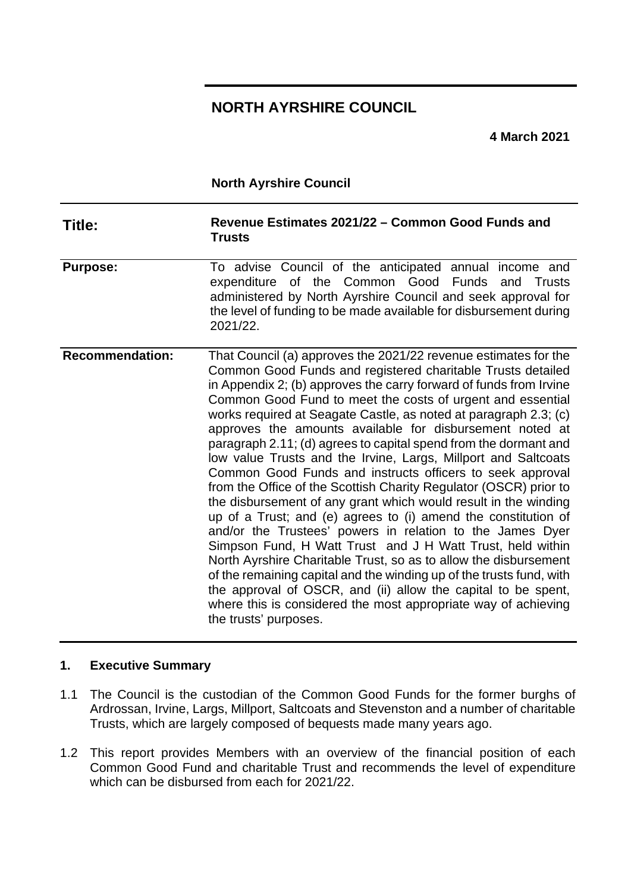# **NORTH AYRSHIRE COUNCIL**

**4 March 2021**

**North Ayrshire Council**

| Title:                 | Revenue Estimates 2021/22 - Common Good Funds and<br><b>Trusts</b>                                                                                                                                                                                                                                                                                                                                                                                                                                                                                                                                                                                                                                                                                                                                                                                                                                                                                                                                                                                                                                                                                                                                                                                 |
|------------------------|----------------------------------------------------------------------------------------------------------------------------------------------------------------------------------------------------------------------------------------------------------------------------------------------------------------------------------------------------------------------------------------------------------------------------------------------------------------------------------------------------------------------------------------------------------------------------------------------------------------------------------------------------------------------------------------------------------------------------------------------------------------------------------------------------------------------------------------------------------------------------------------------------------------------------------------------------------------------------------------------------------------------------------------------------------------------------------------------------------------------------------------------------------------------------------------------------------------------------------------------------|
| <b>Purpose:</b>        | To advise Council of the anticipated annual income and<br>expenditure of the Common Good<br>Funds<br>and<br>Trusts<br>administered by North Ayrshire Council and seek approval for<br>the level of funding to be made available for disbursement during<br>2021/22.                                                                                                                                                                                                                                                                                                                                                                                                                                                                                                                                                                                                                                                                                                                                                                                                                                                                                                                                                                                |
| <b>Recommendation:</b> | That Council (a) approves the 2021/22 revenue estimates for the<br>Common Good Funds and registered charitable Trusts detailed<br>in Appendix 2; (b) approves the carry forward of funds from Irvine<br>Common Good Fund to meet the costs of urgent and essential<br>works required at Seagate Castle, as noted at paragraph 2.3; (c)<br>approves the amounts available for disbursement noted at<br>paragraph 2.11; (d) agrees to capital spend from the dormant and<br>low value Trusts and the Irvine, Largs, Millport and Saltcoats<br>Common Good Funds and instructs officers to seek approval<br>from the Office of the Scottish Charity Regulator (OSCR) prior to<br>the disbursement of any grant which would result in the winding<br>up of a Trust; and (e) agrees to (i) amend the constitution of<br>and/or the Trustees' powers in relation to the James Dyer<br>Simpson Fund, H Watt Trust and J H Watt Trust, held within<br>North Ayrshire Charitable Trust, so as to allow the disbursement<br>of the remaining capital and the winding up of the trusts fund, with<br>the approval of OSCR, and (ii) allow the capital to be spent,<br>where this is considered the most appropriate way of achieving<br>the trusts' purposes. |

#### **1. Executive Summary**

- 1.1 The Council is the custodian of the Common Good Funds for the former burghs of Ardrossan, Irvine, Largs, Millport, Saltcoats and Stevenston and a number of charitable Trusts, which are largely composed of bequests made many years ago.
- 1.2 This report provides Members with an overview of the financial position of each Common Good Fund and charitable Trust and recommends the level of expenditure which can be disbursed from each for 2021/22.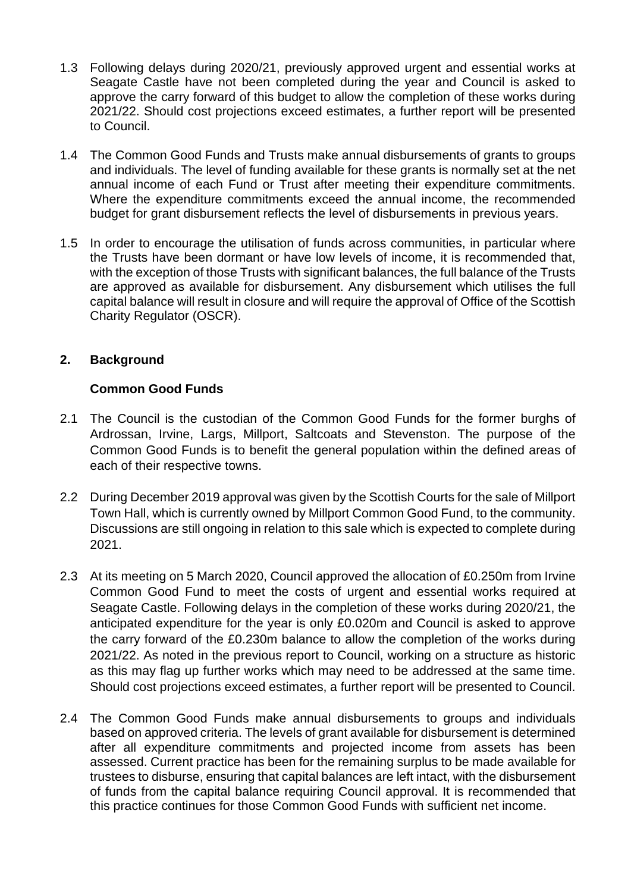- 1.3 Following delays during 2020/21, previously approved urgent and essential works at Seagate Castle have not been completed during the year and Council is asked to approve the carry forward of this budget to allow the completion of these works during 2021/22. Should cost projections exceed estimates, a further report will be presented to Council.
- 1.4 The Common Good Funds and Trusts make annual disbursements of grants to groups and individuals. The level of funding available for these grants is normally set at the net annual income of each Fund or Trust after meeting their expenditure commitments. Where the expenditure commitments exceed the annual income, the recommended budget for grant disbursement reflects the level of disbursements in previous years.
- 1.5 In order to encourage the utilisation of funds across communities, in particular where the Trusts have been dormant or have low levels of income, it is recommended that, with the exception of those Trusts with significant balances, the full balance of the Trusts are approved as available for disbursement. Any disbursement which utilises the full capital balance will result in closure and will require the approval of Office of the Scottish Charity Regulator (OSCR).

# **2. Background**

## **Common Good Funds**

- 2.1 The Council is the custodian of the Common Good Funds for the former burghs of Ardrossan, Irvine, Largs, Millport, Saltcoats and Stevenston. The purpose of the Common Good Funds is to benefit the general population within the defined areas of each of their respective towns.
- 2.2 During December 2019 approval was given by the Scottish Courts for the sale of Millport Town Hall, which is currently owned by Millport Common Good Fund, to the community. Discussions are still ongoing in relation to this sale which is expected to complete during 2021.
- 2.3 At its meeting on 5 March 2020, Council approved the allocation of £0.250m from Irvine Common Good Fund to meet the costs of urgent and essential works required at Seagate Castle. Following delays in the completion of these works during 2020/21, the anticipated expenditure for the year is only £0.020m and Council is asked to approve the carry forward of the £0.230m balance to allow the completion of the works during 2021/22. As noted in the previous report to Council, working on a structure as historic as this may flag up further works which may need to be addressed at the same time. Should cost projections exceed estimates, a further report will be presented to Council.
- 2.4 The Common Good Funds make annual disbursements to groups and individuals based on approved criteria. The levels of grant available for disbursement is determined after all expenditure commitments and projected income from assets has been assessed. Current practice has been for the remaining surplus to be made available for trustees to disburse, ensuring that capital balances are left intact, with the disbursement of funds from the capital balance requiring Council approval. It is recommended that this practice continues for those Common Good Funds with sufficient net income.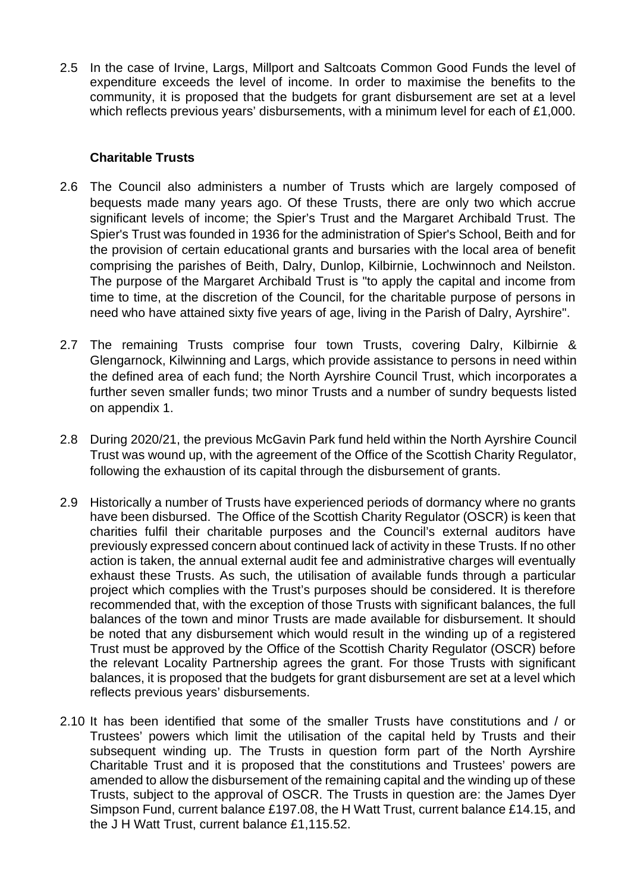2.5 In the case of Irvine, Largs, Millport and Saltcoats Common Good Funds the level of expenditure exceeds the level of income. In order to maximise the benefits to the community, it is proposed that the budgets for grant disbursement are set at a level which reflects previous years' disbursements, with a minimum level for each of £1,000.

## **Charitable Trusts**

- 2.6 The Council also administers a number of Trusts which are largely composed of bequests made many years ago. Of these Trusts, there are only two which accrue significant levels of income; the Spier's Trust and the Margaret Archibald Trust. The Spier's Trust was founded in 1936 for the administration of Spier's School, Beith and for the provision of certain educational grants and bursaries with the local area of benefit comprising the parishes of Beith, Dalry, Dunlop, Kilbirnie, Lochwinnoch and Neilston. The purpose of the Margaret Archibald Trust is "to apply the capital and income from time to time, at the discretion of the Council, for the charitable purpose of persons in need who have attained sixty five years of age, living in the Parish of Dalry, Ayrshire".
- 2.7 The remaining Trusts comprise four town Trusts, covering Dalry, Kilbirnie & Glengarnock, Kilwinning and Largs, which provide assistance to persons in need within the defined area of each fund; the North Ayrshire Council Trust, which incorporates a further seven smaller funds; two minor Trusts and a number of sundry bequests listed on appendix 1.
- 2.8 During 2020/21, the previous McGavin Park fund held within the North Ayrshire Council Trust was wound up, with the agreement of the Office of the Scottish Charity Regulator, following the exhaustion of its capital through the disbursement of grants.
- 2.9 Historically a number of Trusts have experienced periods of dormancy where no grants have been disbursed. The Office of the Scottish Charity Regulator (OSCR) is keen that charities fulfil their charitable purposes and the Council's external auditors have previously expressed concern about continued lack of activity in these Trusts. If no other action is taken, the annual external audit fee and administrative charges will eventually exhaust these Trusts. As such, the utilisation of available funds through a particular project which complies with the Trust's purposes should be considered. It is therefore recommended that, with the exception of those Trusts with significant balances, the full balances of the town and minor Trusts are made available for disbursement. It should be noted that any disbursement which would result in the winding up of a registered Trust must be approved by the Office of the Scottish Charity Regulator (OSCR) before the relevant Locality Partnership agrees the grant. For those Trusts with significant balances, it is proposed that the budgets for grant disbursement are set at a level which reflects previous years' disbursements.
- 2.10 It has been identified that some of the smaller Trusts have constitutions and / or Trustees' powers which limit the utilisation of the capital held by Trusts and their subsequent winding up. The Trusts in question form part of the North Ayrshire Charitable Trust and it is proposed that the constitutions and Trustees' powers are amended to allow the disbursement of the remaining capital and the winding up of these Trusts, subject to the approval of OSCR. The Trusts in question are: the James Dyer Simpson Fund, current balance £197.08, the H Watt Trust, current balance £14.15, and the J H Watt Trust, current balance £1,115.52.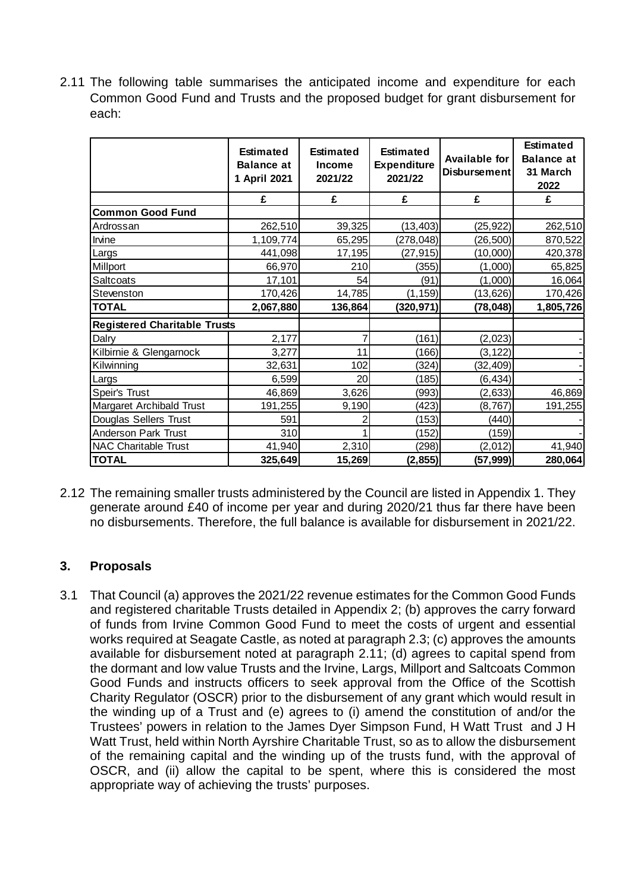2.11 The following table summarises the anticipated income and expenditure for each Common Good Fund and Trusts and the proposed budget for grant disbursement for each:

|                                     | <b>Estimated</b><br><b>Balance at</b><br>1 April 2021 | <b>Estimated</b><br><b>Income</b><br>2021/22 | <b>Estimated</b><br><b>Expenditure</b><br>2021/22 | <b>Available for</b><br>Disbursement | <b>Estimated</b><br><b>Balance at</b><br>31 March<br>2022 |
|-------------------------------------|-------------------------------------------------------|----------------------------------------------|---------------------------------------------------|--------------------------------------|-----------------------------------------------------------|
|                                     | £                                                     | £                                            | £                                                 | £                                    | £                                                         |
| <b>Common Good Fund</b>             |                                                       |                                              |                                                   |                                      |                                                           |
| Ardrossan                           | 262,510                                               | 39,325                                       | (13, 403)                                         | (25, 922)                            | 262,510                                                   |
| Irvine                              | 1,109,774                                             | 65,295                                       | (278, 048)                                        | (26, 500)                            | 870,522                                                   |
| Largs                               | 441,098                                               | 17,195                                       | (27, 915)                                         | (10,000)                             | 420,378                                                   |
| Millport                            | 66,970                                                | 210                                          | (355)                                             | (1,000)                              | 65,825                                                    |
| <b>Saltcoats</b>                    | 17,101                                                | 54                                           | (91)                                              | (1,000)                              | 16,064                                                    |
| Stevenston                          | 170,426                                               | 14,785                                       | (1, 159)                                          | (13, 626)                            | 170,426                                                   |
| <b>TOTAL</b>                        | 2,067,880                                             | 136,864                                      | (320, 971)                                        | (78, 048)                            | 1,805,726                                                 |
| <b>Registered Charitable Trusts</b> |                                                       |                                              |                                                   |                                      |                                                           |
| Dalry                               | 2,177                                                 |                                              | (161)                                             | (2,023)                              |                                                           |
| Kilbirnie & Glengarnock             | 3,277                                                 | 11                                           | (166)                                             | (3, 122)                             |                                                           |
| Kilwinning                          | 32,631                                                | 102                                          | (324)                                             | (32, 409)                            |                                                           |
| Largs                               | 6,599                                                 | 20 <sub>l</sub>                              | (185)                                             | (6, 434)                             |                                                           |
| Speir's Trust                       | 46,869                                                | 3,626                                        | (993)                                             | (2,633)                              | 46,869                                                    |
| Margaret Archibald Trust            | 191,255                                               | 9,190                                        | (423)                                             | (8, 767)                             | 191,255                                                   |
| Douglas Sellers Trust               | 591                                                   |                                              | (153)                                             | (440)                                |                                                           |
| <b>Anderson Park Trust</b>          | 310                                                   |                                              | (152)                                             | (159)                                |                                                           |
| NAC Charitable Trust                | 41,940                                                | 2,310                                        | (298)                                             | (2,012)                              | 41,940                                                    |
| <b>TOTAL</b>                        | 325,649                                               | 15,269                                       | (2, 855)                                          | (57,999)                             | 280,064                                                   |

2.12 The remaining smaller trusts administered by the Council are listed in Appendix 1. They generate around £40 of income per year and during 2020/21 thus far there have been no disbursements. Therefore, the full balance is available for disbursement in 2021/22.

# **3. Proposals**

3.1 That Council (a) approves the 2021/22 revenue estimates for the Common Good Funds and registered charitable Trusts detailed in Appendix 2; (b) approves the carry forward of funds from Irvine Common Good Fund to meet the costs of urgent and essential works required at Seagate Castle, as noted at paragraph 2.3; (c) approves the amounts available for disbursement noted at paragraph 2.11; (d) agrees to capital spend from the dormant and low value Trusts and the Irvine, Largs, Millport and Saltcoats Common Good Funds and instructs officers to seek approval from the Office of the Scottish Charity Regulator (OSCR) prior to the disbursement of any grant which would result in the winding up of a Trust and (e) agrees to (i) amend the constitution of and/or the Trustees' powers in relation to the James Dyer Simpson Fund, H Watt Trust and J H Watt Trust, held within North Ayrshire Charitable Trust, so as to allow the disbursement of the remaining capital and the winding up of the trusts fund, with the approval of OSCR, and (ii) allow the capital to be spent, where this is considered the most appropriate way of achieving the trusts' purposes.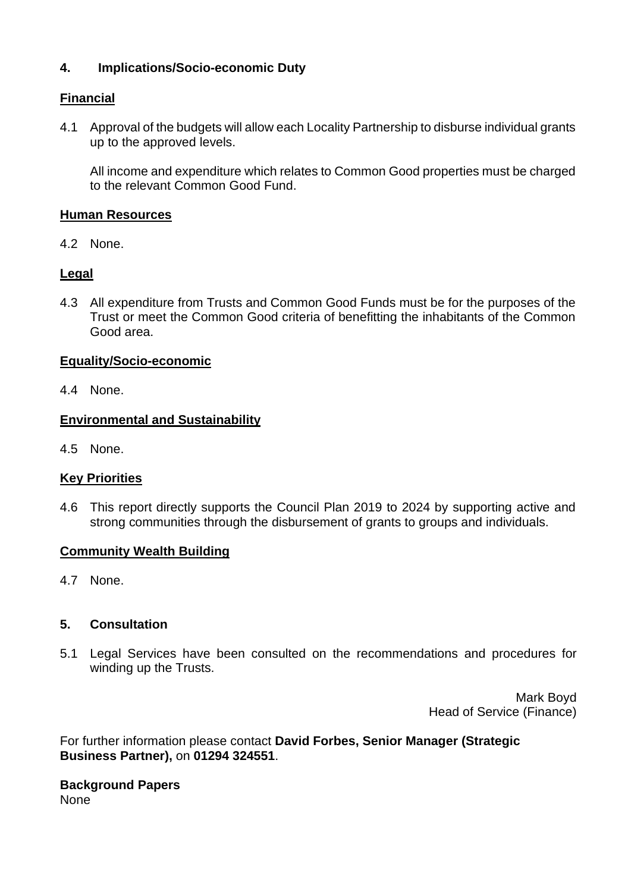# **4. Implications/Socio-economic Duty**

# **Financial**

4.1 Approval of the budgets will allow each Locality Partnership to disburse individual grants up to the approved levels.

All income and expenditure which relates to Common Good properties must be charged to the relevant Common Good Fund.

## **Human Resources**

4.2 None.

## **Legal**

4.3 All expenditure from Trusts and Common Good Funds must be for the purposes of the Trust or meet the Common Good criteria of benefitting the inhabitants of the Common Good area.

# **Equality/Socio-economic**

4.4 None.

## **Environmental and Sustainability**

4.5 None.

# **Key Priorities**

4.6 This report directly supports the Council Plan 2019 to 2024 by supporting active and strong communities through the disbursement of grants to groups and individuals.

#### **Community Wealth Building**

4.7 None.

# **5. Consultation**

5.1 Legal Services have been consulted on the recommendations and procedures for winding up the Trusts.

> Mark Boyd Head of Service (Finance)

For further information please contact **David Forbes, Senior Manager (Strategic Business Partner),** on **01294 324551**.

#### **Background Papers** None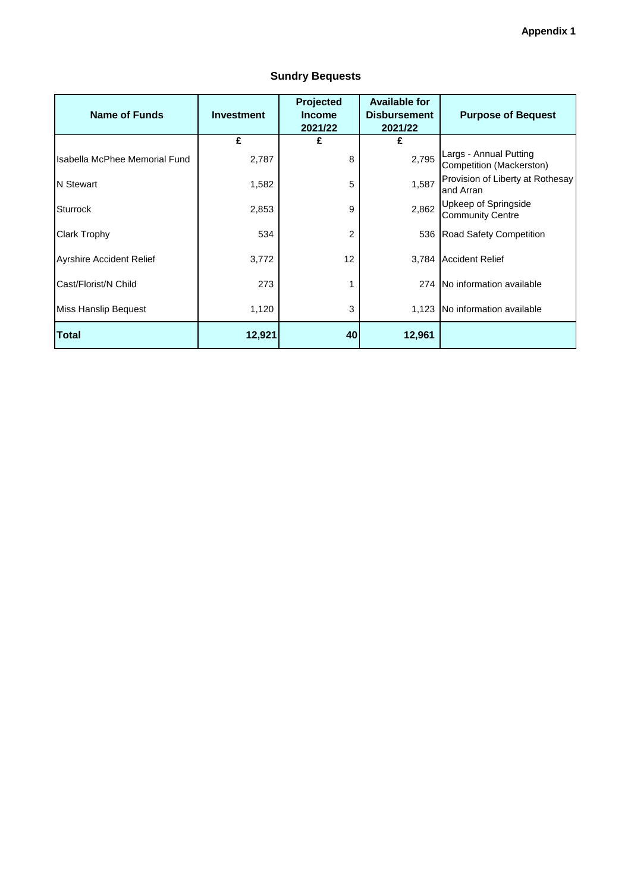| <b>Name of Funds</b>            | <b>Investment</b> | Projected<br><b>Income</b><br>2021/22 | <b>Available for</b><br><b>Disbursement</b><br>2021/22 | <b>Purpose of Bequest</b>                          |
|---------------------------------|-------------------|---------------------------------------|--------------------------------------------------------|----------------------------------------------------|
|                                 | £                 | £                                     | £                                                      |                                                    |
| Isabella McPhee Memorial Fund   | 2,787             | 8                                     | 2,795                                                  | Largs - Annual Putting<br>Competition (Mackerston) |
| N Stewart                       | 1,582             | 5                                     | 1,587                                                  | Provision of Liberty at Rothesay<br>and Arran      |
| <b>Sturrock</b>                 | 2,853             | 9                                     | 2,862                                                  | Upkeep of Springside<br><b>Community Centre</b>    |
| Clark Trophy                    | 534               | 2                                     |                                                        | 536 Road Safety Competition                        |
| <b>Ayrshire Accident Relief</b> | 3,772             | 12                                    | 3,784                                                  | <b>Accident Relief</b>                             |
| Cast/Florist/N Child            | 273               |                                       | 274                                                    | No information available                           |
| Miss Hanslip Bequest            | 1,120             | 3                                     |                                                        | 1,123 No information available                     |
| <b>Total</b>                    | 12,921            | 40                                    | 12,961                                                 |                                                    |

#### **Sundry Bequests**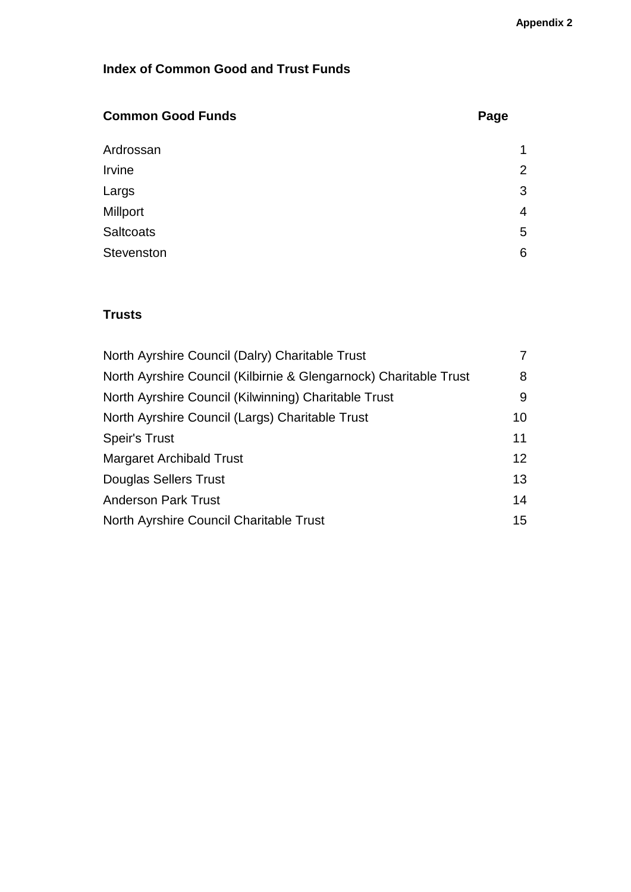# **Index of Common Good and Trust Funds**

| <b>Common Good Funds</b> | Page           |
|--------------------------|----------------|
| Ardrossan                | 1              |
| Irvine                   | $\overline{2}$ |
| Largs                    | 3              |
| Millport                 | 4              |
| <b>Saltcoats</b>         | 5              |
| Stevenston               | 6              |

# **Trusts**

| North Ayrshire Council (Dalry) Charitable Trust                   | 7               |
|-------------------------------------------------------------------|-----------------|
| North Ayrshire Council (Kilbirnie & Glengarnock) Charitable Trust | 8               |
| North Ayrshire Council (Kilwinning) Charitable Trust              | 9               |
| North Ayrshire Council (Largs) Charitable Trust                   | 10 <sup>°</sup> |
| <b>Speir's Trust</b>                                              | 11              |
| <b>Margaret Archibald Trust</b>                                   | 12              |
| Douglas Sellers Trust                                             | 13              |
| <b>Anderson Park Trust</b>                                        | 14              |
| North Ayrshire Council Charitable Trust                           | 15              |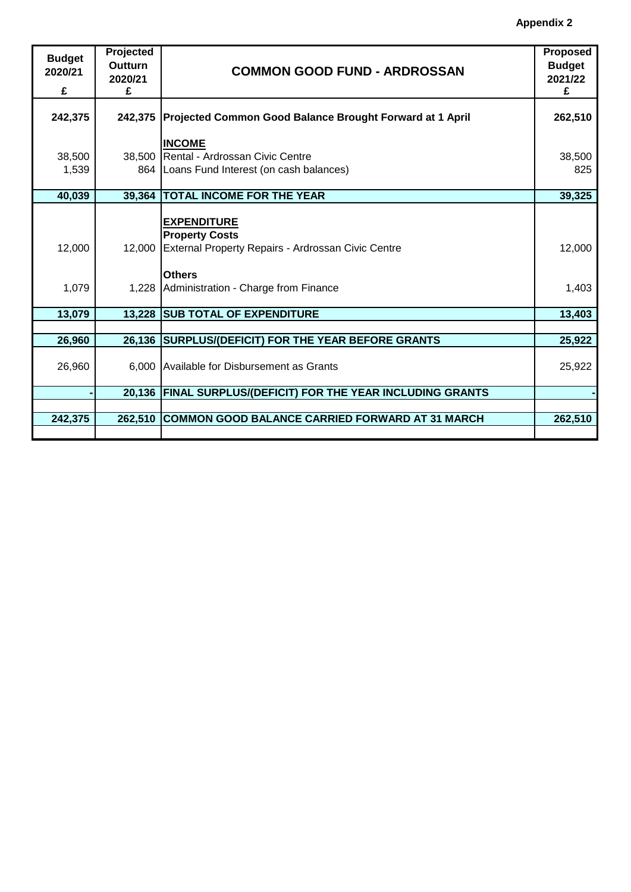| <b>Budget</b><br>2020/21<br>£ | Projected<br><b>Outturn</b><br>2020/21<br>£ | <b>COMMON GOOD FUND - ARDROSSAN</b>                                        | <b>Proposed</b><br><b>Budget</b><br>2021/22<br>£ |
|-------------------------------|---------------------------------------------|----------------------------------------------------------------------------|--------------------------------------------------|
| 242,375                       |                                             | 242,375 Projected Common Good Balance Brought Forward at 1 April           | 262,510                                          |
|                               |                                             | <b>INCOME</b>                                                              |                                                  |
| 38,500                        |                                             | 38,500 Rental - Ardrossan Civic Centre                                     | 38,500                                           |
| 1,539                         |                                             | 864 Loans Fund Interest (on cash balances)                                 | 825                                              |
| 40,039                        | 39,364                                      | <b>TOTAL INCOME FOR THE YEAR</b>                                           | 39,325                                           |
|                               |                                             | <b>EXPENDITURE</b><br><b>Property Costs</b>                                |                                                  |
| 12,000                        |                                             | 12,000 External Property Repairs - Ardrossan Civic Centre<br><b>Others</b> | 12,000                                           |
| 1,079                         |                                             | 1,228 Administration - Charge from Finance                                 | 1,403                                            |
| 13,079                        |                                             | 13,228 SUB TOTAL OF EXPENDITURE                                            | 13,403                                           |
|                               |                                             |                                                                            |                                                  |
| 26,960                        |                                             | 26,136 SURPLUS/(DEFICIT) FOR THE YEAR BEFORE GRANTS                        | 25,922                                           |
| 26,960                        |                                             | 6,000 Available for Disbursement as Grants                                 | 25,922                                           |
|                               |                                             | 20,136 FINAL SURPLUS/(DEFICIT) FOR THE YEAR INCLUDING GRANTS               |                                                  |
|                               |                                             |                                                                            |                                                  |
| 242,375                       | 262,510                                     | <b>COMMON GOOD BALANCE CARRIED FORWARD AT 31 MARCH</b>                     | 262,510                                          |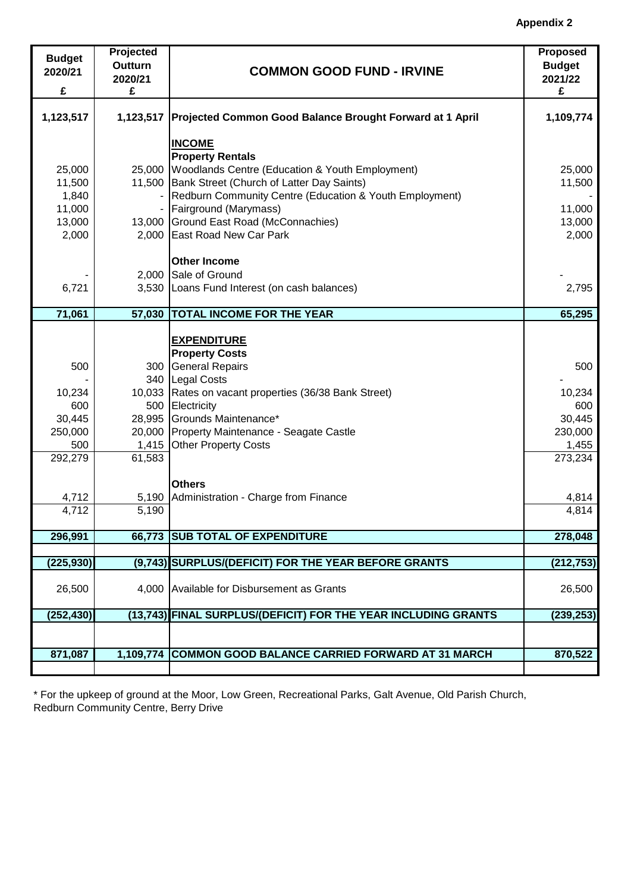| <b>Budget</b><br>2020/21 | Projected<br>Outturn | <b>COMMON GOOD FUND - IRVINE</b>                                       | <b>Proposed</b><br><b>Budget</b> |
|--------------------------|----------------------|------------------------------------------------------------------------|----------------------------------|
| £                        | 2020/21<br>£         |                                                                        | 2021/22<br>£                     |
|                          |                      |                                                                        |                                  |
| 1,123,517                | 1,123,517            | Projected Common Good Balance Brought Forward at 1 April               | 1,109,774                        |
|                          |                      | <b>INCOME</b>                                                          |                                  |
|                          |                      | <b>Property Rentals</b>                                                |                                  |
| 25,000                   | 25,000               | Woodlands Centre (Education & Youth Employment)                        | 25,000                           |
| 11,500                   |                      | 11,500 Bank Street (Church of Latter Day Saints)                       | 11,500                           |
| 1,840                    |                      | Redburn Community Centre (Education & Youth Employment)                |                                  |
| 11,000                   |                      | Fairground (Marymass)                                                  | 11,000                           |
| 13,000<br>2,000          |                      | 13,000 Ground East Road (McConnachies)<br>2,000 East Road New Car Park | 13,000                           |
|                          |                      |                                                                        | 2,000                            |
|                          |                      | <b>Other Income</b>                                                    |                                  |
|                          | 2,000                | Sale of Ground                                                         |                                  |
| 6,721                    | 3,530                | Loans Fund Interest (on cash balances)                                 | 2,795                            |
| 71,061                   | 57,030               | <b>TOTAL INCOME FOR THE YEAR</b>                                       | 65,295                           |
|                          |                      |                                                                        |                                  |
|                          |                      | <b>EXPENDITURE</b>                                                     |                                  |
|                          |                      | <b>Property Costs</b>                                                  |                                  |
| 500                      |                      | 300 General Repairs                                                    | 500                              |
|                          |                      | 340   Legal Costs                                                      |                                  |
| 10,234                   |                      | 10,033 Rates on vacant properties (36/38 Bank Street)                  | 10,234                           |
| 600                      |                      | 500 Electricity                                                        | 600                              |
| 30,445                   |                      | 28,995 Grounds Maintenance*                                            | 30,445                           |
| 250,000                  |                      | 20,000 Property Maintenance - Seagate Castle                           | 230,000                          |
| 500                      | 1,415                | <b>Other Property Costs</b>                                            | 1,455                            |
| 292,279                  | 61,583               |                                                                        | 273,234                          |
|                          |                      | <b>Others</b>                                                          |                                  |
| 4,712                    | 5,190                | Administration - Charge from Finance                                   | 4,814                            |
| 4,712                    | 5,190                |                                                                        | 4,814                            |
| 296,991                  |                      | 66,773 SUB TOTAL OF EXPENDITURE                                        | 278,048                          |
|                          |                      |                                                                        |                                  |
| (225, 930)               |                      | (9,743) SURPLUS/(DEFICIT) FOR THE YEAR BEFORE GRANTS                   | (212, 753)                       |
| 26,500                   |                      | 4,000 Available for Disbursement as Grants                             | 26,500                           |
|                          |                      |                                                                        |                                  |
| (252, 430)               |                      | (13,743) FINAL SURPLUS/(DEFICIT) FOR THE YEAR INCLUDING GRANTS         | (239, 253)                       |
|                          |                      |                                                                        |                                  |
| 871,087                  |                      | 1,109,774 COMMON GOOD BALANCE CARRIED FORWARD AT 31 MARCH              | 870,522                          |
|                          |                      |                                                                        |                                  |

\* For the upkeep of ground at the Moor, Low Green, Recreational Parks, Galt Avenue, Old Parish Church, Redburn Community Centre, Berry Drive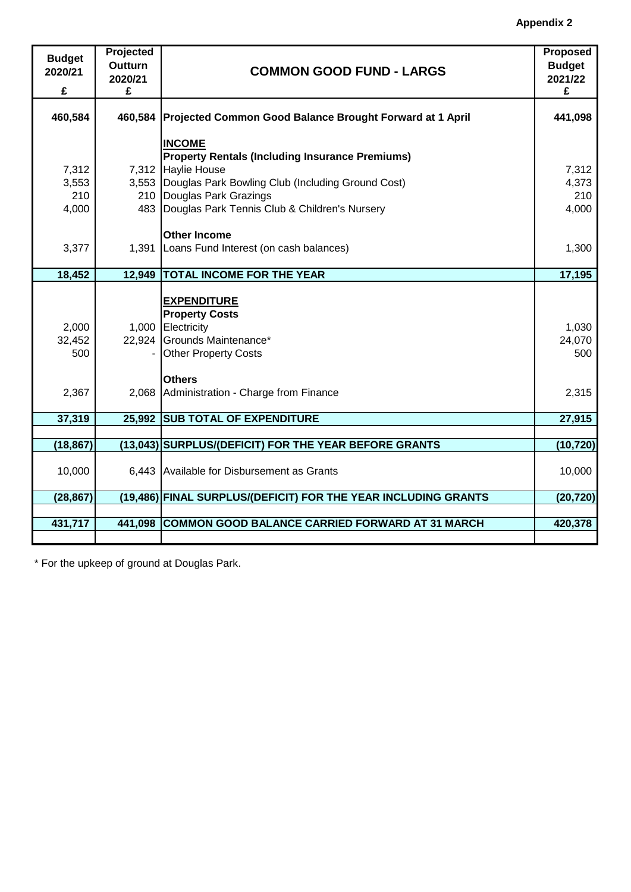| <b>Budget</b><br>2020/21<br>£ | <b>Projected</b><br>Outturn<br>2020/21<br>£ | <b>COMMON GOOD FUND - LARGS</b>                                  | <b>Proposed</b><br><b>Budget</b><br>2021/22<br>£ |
|-------------------------------|---------------------------------------------|------------------------------------------------------------------|--------------------------------------------------|
|                               |                                             |                                                                  |                                                  |
| 460,584                       |                                             | 460,584 Projected Common Good Balance Brought Forward at 1 April | 441,098                                          |
|                               |                                             | <b>INCOME</b>                                                    |                                                  |
|                               |                                             | <b>Property Rentals (Including Insurance Premiums)</b>           |                                                  |
| 7,312                         |                                             | 7,312 Haylie House                                               | 7,312                                            |
| 3,553                         |                                             | 3,553 Douglas Park Bowling Club (Including Ground Cost)          | 4,373                                            |
| 210                           |                                             | 210 Douglas Park Grazings                                        | 210                                              |
| 4,000                         |                                             | 483 Douglas Park Tennis Club & Children's Nursery                | 4,000                                            |
|                               |                                             |                                                                  |                                                  |
|                               |                                             | <b>Other Income</b>                                              |                                                  |
| 3,377                         |                                             | 1,391 Loans Fund Interest (on cash balances)                     | 1,300                                            |
|                               |                                             |                                                                  |                                                  |
| 18,452                        | 12,949                                      | <b>TOTAL INCOME FOR THE YEAR</b>                                 | 17,195                                           |
|                               |                                             |                                                                  |                                                  |
|                               |                                             | <b>EXPENDITURE</b>                                               |                                                  |
|                               |                                             | <b>Property Costs</b>                                            |                                                  |
| 2,000                         |                                             | 1,000 Electricity                                                | 1,030                                            |
| 32,452                        |                                             | 22,924 Grounds Maintenance*                                      | 24,070                                           |
| 500                           |                                             | <b>Other Property Costs</b>                                      | 500                                              |
|                               |                                             |                                                                  |                                                  |
|                               |                                             | <b>Others</b>                                                    |                                                  |
| 2,367                         |                                             | 2,068 Administration - Charge from Finance                       | 2,315                                            |
| 37,319                        | 25,992                                      | <b>SUB TOTAL OF EXPENDITURE</b>                                  | 27,915                                           |
|                               |                                             |                                                                  |                                                  |
| (18, 867)                     |                                             | (13,043) SURPLUS/(DEFICIT) FOR THE YEAR BEFORE GRANTS            | (10, 720)                                        |
|                               |                                             |                                                                  |                                                  |
| 10,000                        |                                             | 6,443 Available for Disbursement as Grants                       | 10,000                                           |
|                               |                                             |                                                                  |                                                  |
| (28, 867)                     |                                             | (19,486) FINAL SURPLUS/(DEFICIT) FOR THE YEAR INCLUDING GRANTS   | (20, 720)                                        |
|                               |                                             |                                                                  |                                                  |
| 431,717                       | 441,098                                     | <b>COMMON GOOD BALANCE CARRIED FORWARD AT 31 MARCH</b>           | 420,378                                          |

\* For the upkeep of ground at Douglas Park.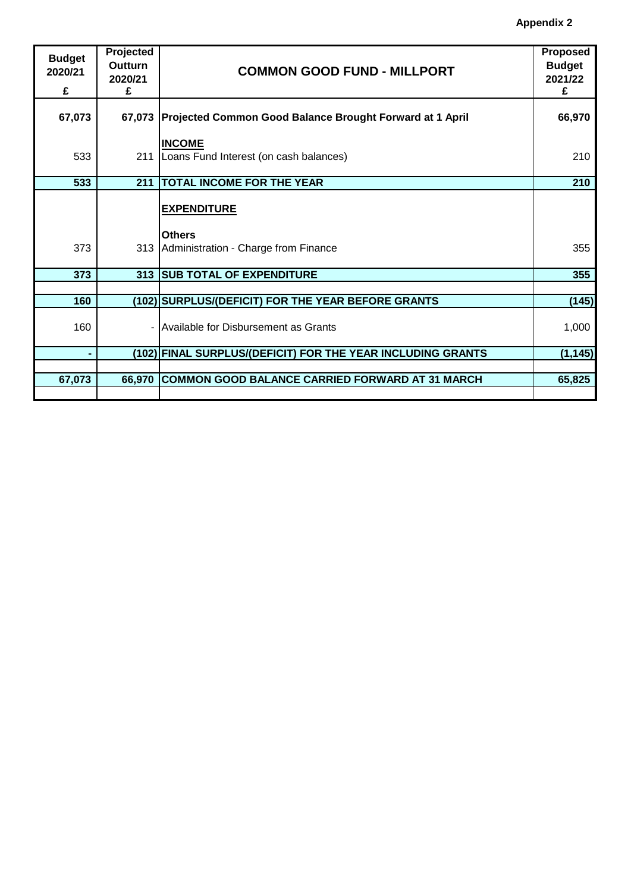| <b>Budget</b><br>2020/21<br>£ | Projected<br>Outturn<br>2020/21<br>£ | <b>COMMON GOOD FUND - MILLPORT</b>                                              | <b>Proposed</b><br><b>Budget</b><br>2021/22<br>£ |
|-------------------------------|--------------------------------------|---------------------------------------------------------------------------------|--------------------------------------------------|
| 67,073                        |                                      | 67,073 Projected Common Good Balance Brought Forward at 1 April                 | 66,970                                           |
| 533                           |                                      | <b>INCOME</b><br>211   Loans Fund Interest (on cash balances)                   | 210                                              |
| 533                           | 211                                  | <b>TOTAL INCOME FOR THE YEAR</b>                                                | 210                                              |
| 373                           |                                      | <b>EXPENDITURE</b><br><b>Others</b><br>313 Administration - Charge from Finance | 355                                              |
| 373                           | 313                                  | <b>SUB TOTAL OF EXPENDITURE</b>                                                 | 355                                              |
|                               |                                      |                                                                                 |                                                  |
| 160                           |                                      | (102) SURPLUS/(DEFICIT) FOR THE YEAR BEFORE GRANTS                              | (145)                                            |
| 160                           |                                      | Available for Disbursement as Grants                                            | 1,000                                            |
|                               |                                      | (102) FINAL SURPLUS/(DEFICIT) FOR THE YEAR INCLUDING GRANTS                     | (1, 145)                                         |
| 67,073                        | 66,970                               | <b>COMMON GOOD BALANCE CARRIED FORWARD AT 31 MARCH</b>                          | 65,825                                           |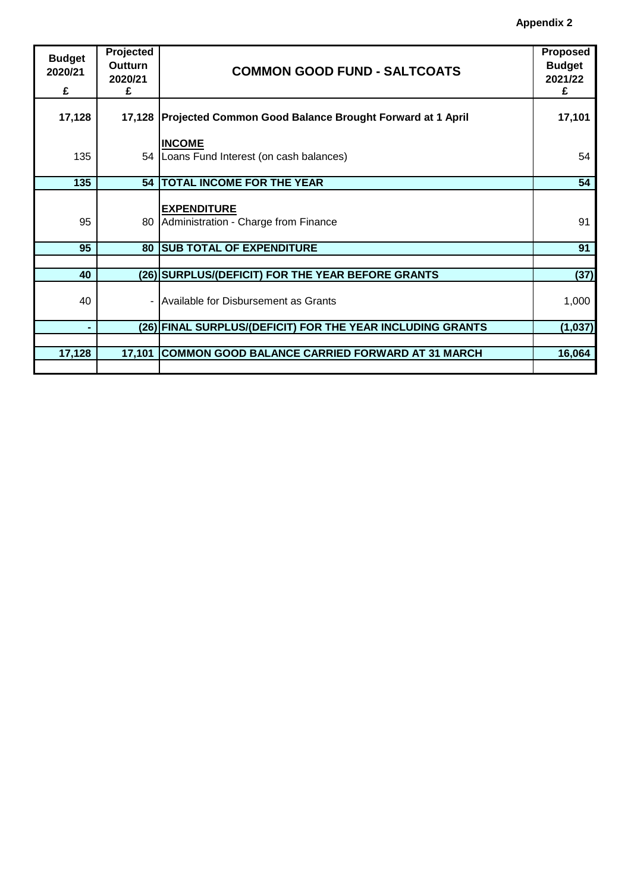| <b>Budget</b><br>2020/21<br>£ | Projected<br>Outturn<br>2020/21<br>£ | <b>COMMON GOOD FUND - SALTCOATS</b>                               | Proposed<br><b>Budget</b><br>2021/22<br>£ |
|-------------------------------|--------------------------------------|-------------------------------------------------------------------|-------------------------------------------|
|                               |                                      |                                                                   |                                           |
| 17,128                        |                                      | 17,128   Projected Common Good Balance Brought Forward at 1 April | 17,101                                    |
|                               |                                      |                                                                   |                                           |
|                               |                                      | <b>INCOME</b>                                                     |                                           |
| 135                           |                                      | 54 Loans Fund Interest (on cash balances)                         | 54                                        |
| 135                           |                                      | 54   TOTAL INCOME FOR THE YEAR                                    | 54                                        |
|                               |                                      |                                                                   |                                           |
| 95                            |                                      | <b>EXPENDITURE</b><br>80 Administration - Charge from Finance     | 91                                        |
| 95                            |                                      | <b>80  SUB TOTAL OF EXPENDITURE</b>                               | 91                                        |
|                               |                                      |                                                                   |                                           |
|                               |                                      |                                                                   |                                           |
| 40                            |                                      | (26) SURPLUS/(DEFICIT) FOR THE YEAR BEFORE GRANTS                 | (37)                                      |
| 40                            |                                      | Available for Disbursement as Grants                              | 1,000                                     |
|                               |                                      | (26) FINAL SURPLUS/(DEFICIT) FOR THE YEAR INCLUDING GRANTS        | (1,037)                                   |
|                               |                                      |                                                                   |                                           |
|                               |                                      |                                                                   |                                           |
| 17,128                        | 17,101                               | <b>COMMON GOOD BALANCE CARRIED FORWARD AT 31 MARCH</b>            | 16,064                                    |
|                               |                                      |                                                                   |                                           |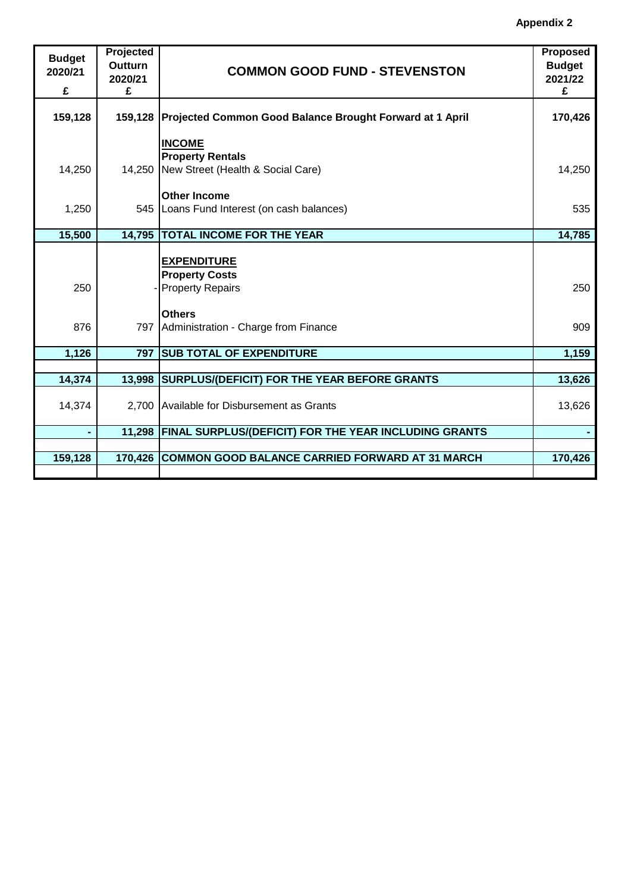| <b>Budget</b><br>2020/21<br>£ | Projected<br><b>Outturn</b><br>2020/21<br>£ | <b>COMMON GOOD FUND - STEVENSTON</b>                                                 | <b>Proposed</b><br><b>Budget</b><br>2021/22<br>£ |
|-------------------------------|---------------------------------------------|--------------------------------------------------------------------------------------|--------------------------------------------------|
| 159,128                       |                                             | 159,128 Projected Common Good Balance Brought Forward at 1 April                     | 170,426                                          |
| 14,250                        |                                             | <b>INCOME</b><br><b>Property Rentals</b><br>14,250 New Street (Health & Social Care) | 14,250                                           |
| 1,250                         |                                             | <b>Other Income</b><br>545   Loans Fund Interest (on cash balances)                  | 535                                              |
| 15,500                        |                                             | 14,795 TOTAL INCOME FOR THE YEAR                                                     | 14,785                                           |
| 250                           |                                             | <b>EXPENDITURE</b><br><b>Property Costs</b><br><b>Property Repairs</b>               | 250                                              |
| 876                           | 797                                         | <b>Others</b><br>Administration - Charge from Finance                                | 909                                              |
| 1,126                         | 797                                         | <b>SUB TOTAL OF EXPENDITURE</b>                                                      | 1,159                                            |
|                               |                                             |                                                                                      |                                                  |
| 14,374                        | 13,998                                      | SURPLUS/(DEFICIT) FOR THE YEAR BEFORE GRANTS                                         | 13,626                                           |
| 14,374                        | 2,700                                       | Available for Disbursement as Grants                                                 | 13,626                                           |
|                               | 11,298                                      | <b>FINAL SURPLUS/(DEFICIT) FOR THE YEAR INCLUDING GRANTS</b>                         |                                                  |
|                               |                                             |                                                                                      |                                                  |
| 159,128                       |                                             | 170,426 COMMON GOOD BALANCE CARRIED FORWARD AT 31 MARCH                              | 170,426                                          |
|                               |                                             |                                                                                      |                                                  |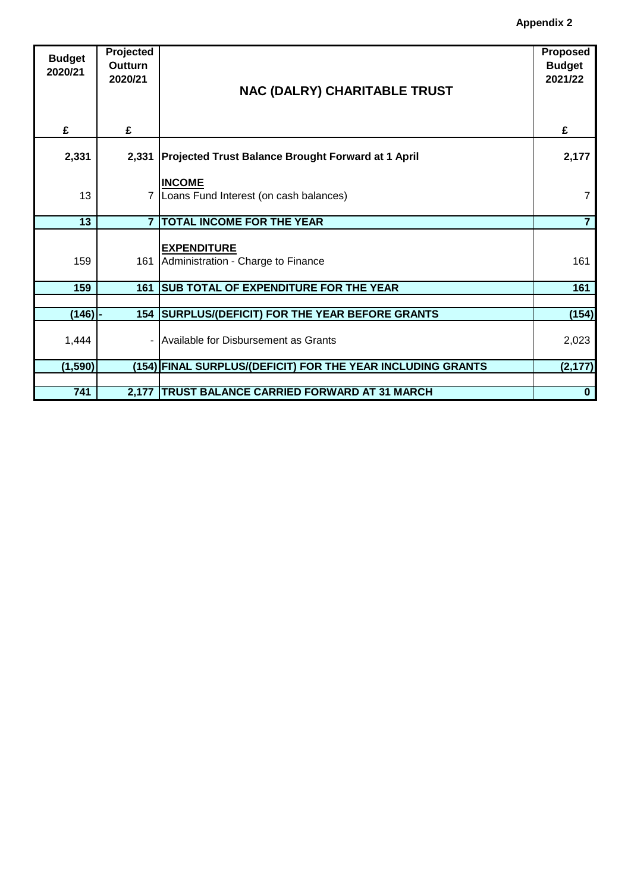| <b>Budget</b> | Projected      |                                                             | <b>Proposed</b> |
|---------------|----------------|-------------------------------------------------------------|-----------------|
|               | Outturn        |                                                             | <b>Budget</b>   |
| 2020/21       | 2020/21        |                                                             | 2021/22         |
|               |                | <b>NAC (DALRY) CHARITABLE TRUST</b>                         |                 |
|               |                |                                                             |                 |
|               |                |                                                             |                 |
|               | £              |                                                             |                 |
| £             |                |                                                             | £               |
|               |                |                                                             |                 |
| 2,331         | 2,331          | <b>Projected Trust Balance Brought Forward at 1 April</b>   | 2,177           |
|               |                |                                                             |                 |
|               |                | <b>INCOME</b>                                               |                 |
| 13            |                | 7   Loans Fund Interest (on cash balances)                  | $\overline{7}$  |
|               |                |                                                             |                 |
| 13            | $\overline{7}$ | <b>TOTAL INCOME FOR THE YEAR</b>                            | $\overline{7}$  |
|               |                |                                                             |                 |
|               |                | <b>EXPENDITURE</b>                                          |                 |
| 159           | 161            | Administration - Charge to Finance                          | 161             |
|               |                |                                                             |                 |
| 159           | 161            | <b>SUB TOTAL OF EXPENDITURE FOR THE YEAR</b>                | 161             |
|               |                |                                                             |                 |
| $(146)$ -     |                | 154 SURPLUS/(DEFICIT) FOR THE YEAR BEFORE GRANTS            | (154)           |
|               |                |                                                             |                 |
| 1,444         |                | - Available for Disbursement as Grants                      | 2,023           |
|               |                |                                                             |                 |
| (1, 590)      |                | (154) FINAL SURPLUS/(DEFICIT) FOR THE YEAR INCLUDING GRANTS | (2, 177)        |
|               |                |                                                             |                 |
| 741           |                | 2,177   TRUST BALANCE CARRIED FORWARD AT 31 MARCH           | $\bf{0}$        |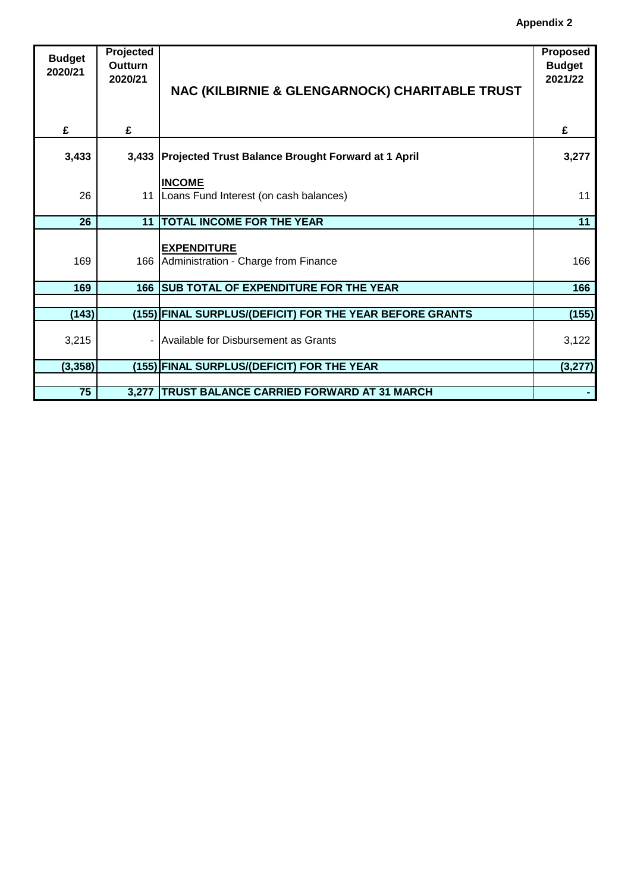**Appendix 2**

| <b>Budget</b> | <b>Projected</b> |                                                          | Proposed      |
|---------------|------------------|----------------------------------------------------------|---------------|
| 2020/21       | <b>Outturn</b>   |                                                          | <b>Budget</b> |
|               | 2020/21          |                                                          | 2021/22       |
|               |                  | NAC (KILBIRNIE & GLENGARNOCK) CHARITABLE TRUST           |               |
|               |                  |                                                          |               |
|               |                  |                                                          |               |
| £             | £                |                                                          | £             |
|               |                  |                                                          |               |
| 3,433         |                  | 3,433 Projected Trust Balance Brought Forward at 1 April | 3,277         |
|               |                  |                                                          |               |
|               |                  | <b>INCOME</b>                                            |               |
| 26            |                  | 11   Loans Fund Interest (on cash balances)              | 11            |
|               |                  |                                                          |               |
| 26            | 11               | <b>TOTAL INCOME FOR THE YEAR</b>                         | 11            |
|               |                  |                                                          |               |
|               |                  | <b>EXPENDITURE</b>                                       |               |
| 169           |                  | 166 Administration - Charge from Finance                 | 166           |
|               |                  |                                                          |               |
| 169           | 166              | <b>SUB TOTAL OF EXPENDITURE FOR THE YEAR</b>             | 166           |
|               |                  |                                                          |               |
| (143)         |                  | (155) FINAL SURPLUS/(DEFICIT) FOR THE YEAR BEFORE GRANTS | (155)         |
|               |                  |                                                          |               |
| 3,215         |                  | Available for Disbursement as Grants                     | 3,122         |
|               |                  |                                                          |               |
| (3, 358)      |                  | (155) FINAL SURPLUS/(DEFICIT) FOR THE YEAR               | (3, 277)      |
|               |                  |                                                          |               |
| 75            | 3,277            | <b>TRUST BALANCE CARRIED FORWARD AT 31 MARCH</b>         |               |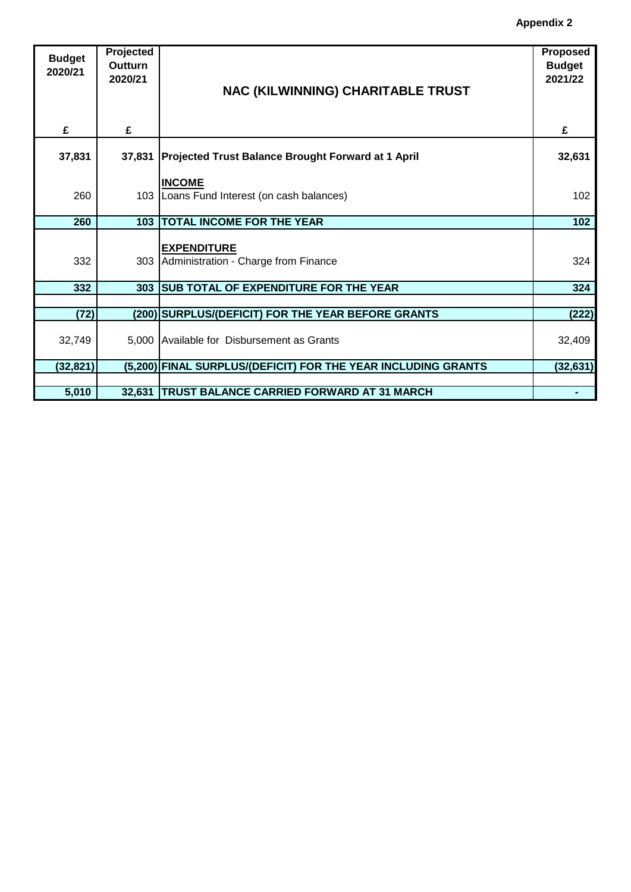| <b>Budget</b><br>2020/21 | Projected<br>Outturn<br>2020/21 | NAC (KILWINNING) CHARITABLE TRUST                              | Proposed<br><b>Budget</b><br>2021/22 |
|--------------------------|---------------------------------|----------------------------------------------------------------|--------------------------------------|
| £                        | £                               |                                                                | £                                    |
| 37,831                   | 37,831                          | <b>Projected Trust Balance Brought Forward at 1 April</b>      | 32,631                               |
| 260                      |                                 | <b>INCOME</b><br>103   Loans Fund Interest (on cash balances)  | 102                                  |
| 260                      |                                 | <b>103 TOTAL INCOME FOR THE YEAR</b>                           | 102                                  |
| 332                      |                                 | <b>EXPENDITURE</b><br>303 Administration - Charge from Finance | 324                                  |
| 332                      | 303                             | <b>SUB TOTAL OF EXPENDITURE FOR THE YEAR</b>                   | 324                                  |
|                          |                                 |                                                                |                                      |
| (72)                     |                                 | (200) SURPLUS/(DEFICIT) FOR THE YEAR BEFORE GRANTS             | (222)                                |
| 32,749                   |                                 | 5,000 Available for Disbursement as Grants                     | 32,409                               |
| (32, 821)                |                                 | (5,200) FINAL SURPLUS/(DEFICIT) FOR THE YEAR INCLUDING GRANTS  | (32, 631)                            |
|                          |                                 |                                                                |                                      |
| 5,010                    |                                 | 32,631   TRUST BALANCE CARRIED FORWARD AT 31 MARCH             |                                      |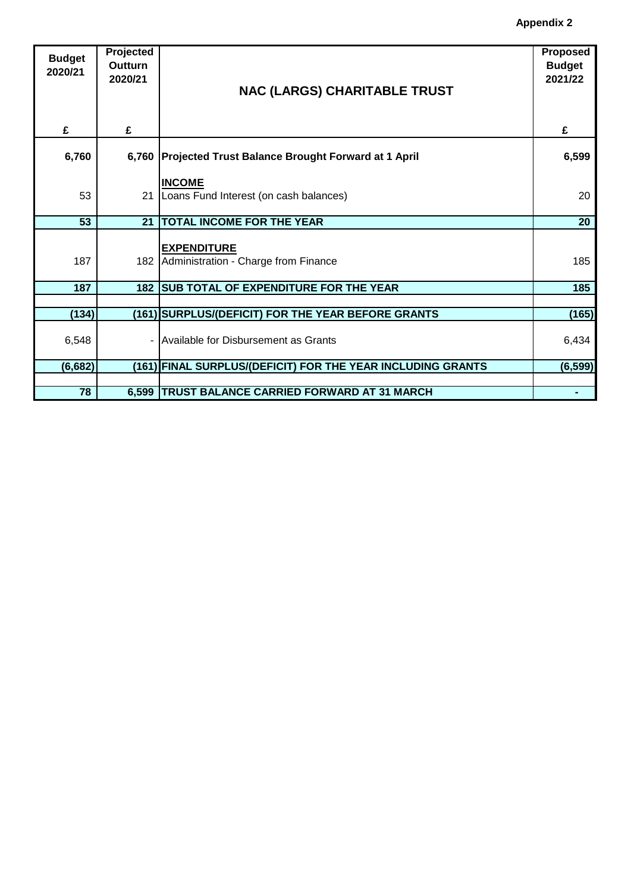| <b>Budget</b><br>2020/21 | Projected<br>Outturn<br>2020/21 | <b>NAC (LARGS) CHARITABLE TRUST</b>                            | Proposed<br><b>Budget</b><br>2021/22 |
|--------------------------|---------------------------------|----------------------------------------------------------------|--------------------------------------|
| £                        | £                               |                                                                | £                                    |
| 6,760                    |                                 | 6,760 Projected Trust Balance Brought Forward at 1 April       | 6,599                                |
| 53                       | 21                              | <b>INCOME</b><br>Loans Fund Interest (on cash balances)        | 20                                   |
| 53                       | 21                              | <b>TOTAL INCOME FOR THE YEAR</b>                               | 20                                   |
| 187                      |                                 | <b>EXPENDITURE</b><br>182 Administration - Charge from Finance | 185                                  |
| 187                      | 182                             | <b>SUB TOTAL OF EXPENDITURE FOR THE YEAR</b>                   | 185                                  |
|                          |                                 |                                                                |                                      |
| (134)                    |                                 | (161) SURPLUS/(DEFICIT) FOR THE YEAR BEFORE GRANTS             | (165)                                |
| 6,548                    |                                 | Available for Disbursement as Grants                           | 6,434                                |
| (6, 682)                 |                                 | (161) FINAL SURPLUS/(DEFICIT) FOR THE YEAR INCLUDING GRANTS    | (6, 599)                             |
|                          |                                 |                                                                |                                      |
| 78                       |                                 | 6,599   TRUST BALANCE CARRIED FORWARD AT 31 MARCH              |                                      |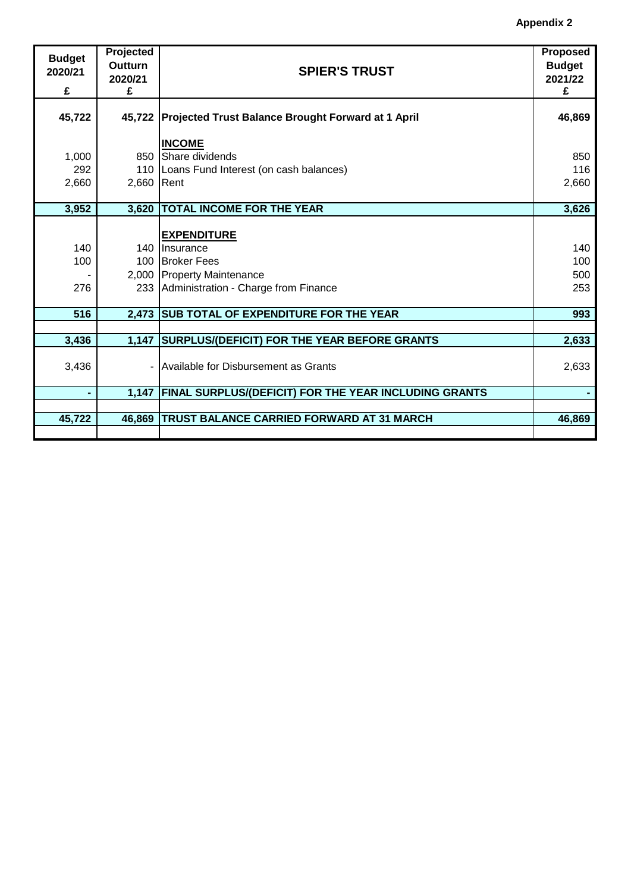| <b>Budget</b><br>2020/21<br>£ | Projected<br><b>Outturn</b><br>2020/21<br>£ | <b>SPIER'S TRUST</b>                                         | <b>Proposed</b><br><b>Budget</b><br>2021/22<br>£ |
|-------------------------------|---------------------------------------------|--------------------------------------------------------------|--------------------------------------------------|
| 45,722                        |                                             | 45,722 Projected Trust Balance Brought Forward at 1 April    | 46,869                                           |
|                               |                                             | <b>INCOME</b>                                                |                                                  |
| 1,000                         | 850                                         | Share dividends                                              | 850                                              |
| 292                           |                                             | 110   Loans Fund Interest (on cash balances)                 | 116                                              |
| 2,660                         | 2,660 Rent                                  |                                                              | 2,660                                            |
|                               |                                             |                                                              |                                                  |
| 3,952                         | 3,620                                       | <b>TOTAL INCOME FOR THE YEAR</b>                             | 3,626                                            |
|                               |                                             |                                                              |                                                  |
| 140                           |                                             | <b>EXPENDITURE</b><br>140 Insurance                          | 140                                              |
| 100                           |                                             | 100 Broker Fees                                              | 100                                              |
|                               |                                             | 2,000 Property Maintenance                                   | 500                                              |
| 276                           |                                             | 233 Administration - Charge from Finance                     | 253                                              |
|                               |                                             |                                                              |                                                  |
| 516                           | 2,473                                       | <b>SUB TOTAL OF EXPENDITURE FOR THE YEAR</b>                 | 993                                              |
|                               |                                             |                                                              |                                                  |
| 3,436                         | 1,147                                       | <b>SURPLUS/(DEFICIT) FOR THE YEAR BEFORE GRANTS</b>          | 2,633                                            |
|                               |                                             |                                                              |                                                  |
| 3,436                         |                                             | Available for Disbursement as Grants                         | 2,633                                            |
| $\blacksquare$                | 1,147                                       | <b>FINAL SURPLUS/(DEFICIT) FOR THE YEAR INCLUDING GRANTS</b> |                                                  |
|                               |                                             |                                                              |                                                  |
| 45,722                        | 46,869                                      | TRUST BALANCE CARRIED FORWARD AT 31 MARCH                    | 46,869                                           |
|                               |                                             |                                                              |                                                  |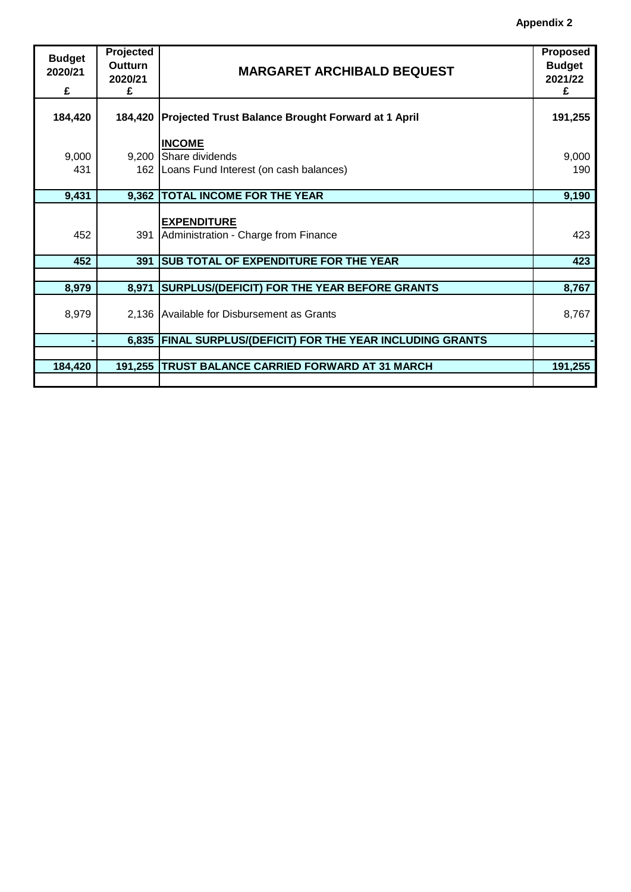| <b>Budget</b><br>2020/21<br>£ | Projected<br>Outturn<br>2020/21<br>£ | <b>MARGARET ARCHIBALD BEQUEST</b>                                                      | <b>Proposed</b><br><b>Budget</b><br>2021/22<br>£ |
|-------------------------------|--------------------------------------|----------------------------------------------------------------------------------------|--------------------------------------------------|
| 184,420                       |                                      | 184,420 Projected Trust Balance Brought Forward at 1 April                             | 191,255                                          |
| 9,000<br>431                  |                                      | <b>INCOME</b><br>9,200 Share dividends<br>162   Loans Fund Interest (on cash balances) | 9,000<br>190                                     |
| 9,431                         | 9,362                                | <b>TOTAL INCOME FOR THE YEAR</b>                                                       | 9,190                                            |
| 452                           | 391                                  | <b>EXPENDITURE</b><br>Administration - Charge from Finance                             | 423                                              |
| 452                           | 391                                  | <b>SUB TOTAL OF EXPENDITURE FOR THE YEAR</b>                                           | 423                                              |
|                               |                                      |                                                                                        |                                                  |
| 8,979                         | 8,971                                | <b>SURPLUS/(DEFICIT) FOR THE YEAR BEFORE GRANTS</b>                                    | 8,767                                            |
| 8,979                         |                                      | 2,136 Available for Disbursement as Grants                                             | 8,767                                            |
|                               | 6,835                                | <b>FINAL SURPLUS/(DEFICIT) FOR THE YEAR INCLUDING GRANTS</b>                           |                                                  |
|                               |                                      |                                                                                        |                                                  |
| 184,420                       | 191,255                              | <b>TRUST BALANCE CARRIED FORWARD AT 31 MARCH</b>                                       | 191,255                                          |
|                               |                                      |                                                                                        |                                                  |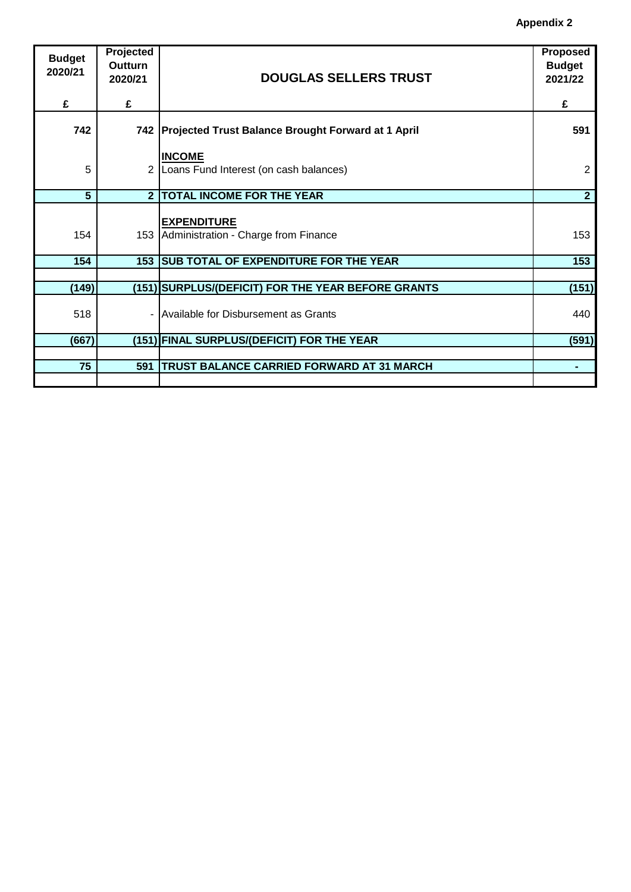| <b>Budget</b><br>2020/21 | Projected<br>Outturn |                                                                | Proposed<br><b>Budget</b> |
|--------------------------|----------------------|----------------------------------------------------------------|---------------------------|
|                          | 2020/21              | <b>DOUGLAS SELLERS TRUST</b>                                   | 2021/22                   |
| £                        | £                    |                                                                | £                         |
| 742                      |                      | 742 Projected Trust Balance Brought Forward at 1 April         | 591                       |
|                          |                      | <b>INCOME</b>                                                  |                           |
| 5                        | 2                    | Loans Fund Interest (on cash balances)                         | 2                         |
| $5\phantom{.}$           | $\overline{2}$       | <b>TOTAL INCOME FOR THE YEAR</b>                               | $\mathbf{2}$              |
| 154                      |                      | <b>EXPENDITURE</b><br>153 Administration - Charge from Finance | 153                       |
| 154                      | 153                  | <b>SUB TOTAL OF EXPENDITURE FOR THE YEAR</b>                   | 153                       |
|                          |                      |                                                                |                           |
| (149)                    |                      | (151) SURPLUS/(DEFICIT) FOR THE YEAR BEFORE GRANTS             | (151)                     |
| 518                      |                      | - Available for Disbursement as Grants                         | 440                       |
| (667)                    |                      | (151) FINAL SURPLUS/(DEFICIT) FOR THE YEAR                     | (591)                     |
|                          |                      |                                                                |                           |
| 75                       | 591                  | <b>TRUST BALANCE CARRIED FORWARD AT 31 MARCH</b>               | ۰                         |
|                          |                      |                                                                |                           |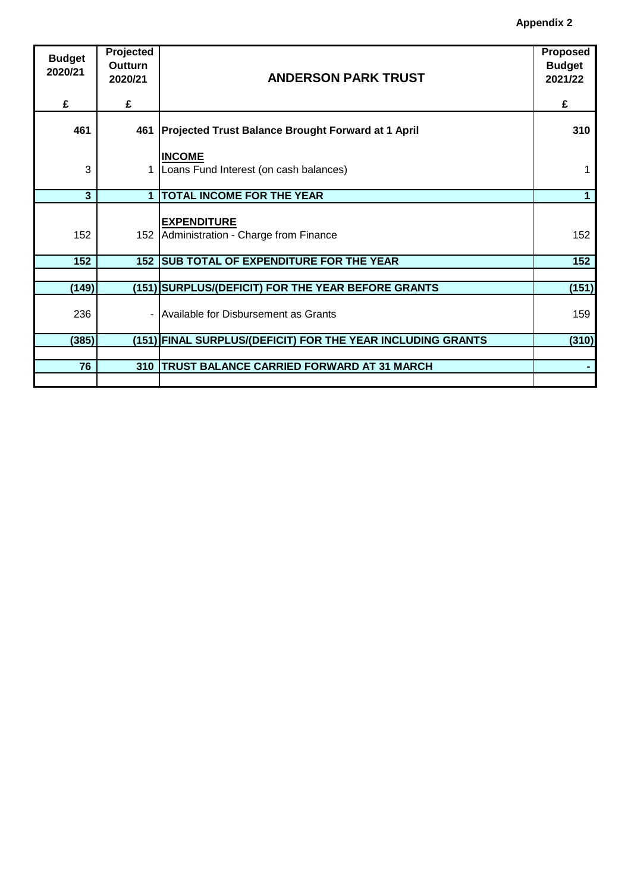| <b>Budget</b><br>2020/21 | Projected<br>Outturn<br>2020/21 | <b>ANDERSON PARK TRUST</b>                                       | Proposed<br><b>Budget</b><br>2021/22 |
|--------------------------|---------------------------------|------------------------------------------------------------------|--------------------------------------|
| £                        | £                               |                                                                  | £                                    |
| 461                      | 461                             | <b>Projected Trust Balance Brought Forward at 1 April</b>        | 310                                  |
| 3                        |                                 | <b>INCOME</b><br>Loans Fund Interest (on cash balances)          | 1                                    |
| 3                        | 1                               | <b>TOTAL INCOME FOR THE YEAR</b>                                 | 1                                    |
| 152                      |                                 | <b>EXPENDITURE</b><br>152   Administration - Charge from Finance | 152                                  |
| 152                      | 152                             | <b>SUB TOTAL OF EXPENDITURE FOR THE YEAR</b>                     | 152                                  |
|                          |                                 |                                                                  |                                      |
| (149)                    |                                 | (151) SURPLUS/(DEFICIT) FOR THE YEAR BEFORE GRANTS               | (151)                                |
| 236                      |                                 | - Available for Disbursement as Grants                           | 159                                  |
| (385)                    |                                 | (151) FINAL SURPLUS/(DEFICIT) FOR THE YEAR INCLUDING GRANTS      | (310)                                |
|                          |                                 |                                                                  |                                      |
| 76                       | 310                             | <b>TRUST BALANCE CARRIED FORWARD AT 31 MARCH</b>                 |                                      |
|                          |                                 |                                                                  |                                      |